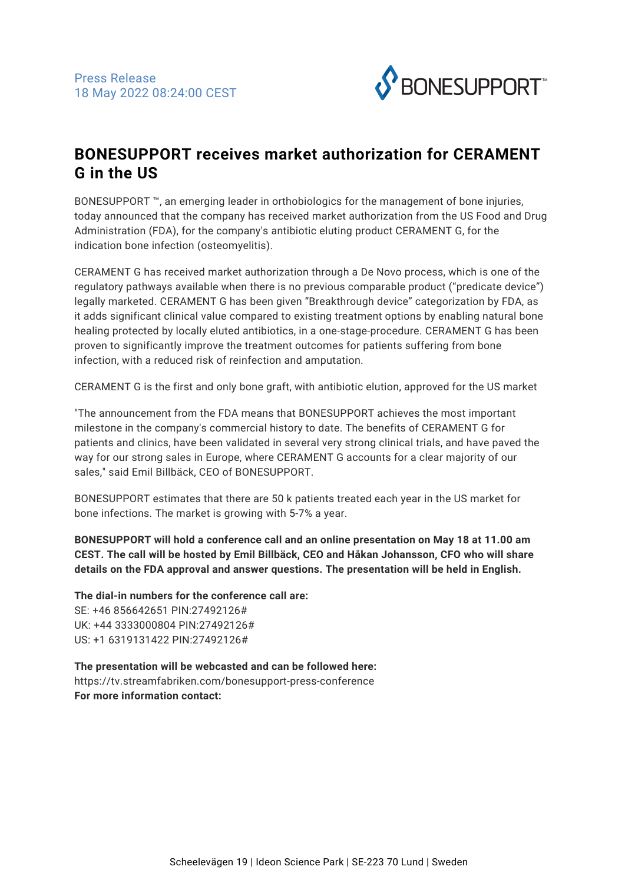

## **BONESUPPORT receives market authorization for CERAMENT G in the US**

BONESUPPORT ™, an emerging leader in orthobiologics for the management of bone injuries, today announced that the company has received market authorization from the US Food and Drug Administration (FDA), for the company's antibiotic eluting product CERAMENT G, for the indication bone infection (osteomyelitis).

CERAMENT G has received market authorization through a De Novo process, which is one of the regulatory pathways available when there is no previous comparable product ("predicate device") legally marketed. CERAMENT G has been given "Breakthrough device" categorization by FDA, as it adds significant clinical value compared to existing treatment options by enabling natural bone healing protected by locally eluted antibiotics, in a one-stage-procedure. CERAMENT G has been proven to significantly improve the treatment outcomes for patients suffering from bone infection, with a reduced risk of reinfection and amputation.

CERAMENT G is the first and only bone graft, with antibiotic elution, approved for the US market

"The announcement from the FDA means that BONESUPPORT achieves the most important milestone in the company's commercial history to date. The benefits of CERAMENT G for patients and clinics, have been validated in several very strong clinical trials, and have paved the way for our strong sales in Europe, where CERAMENT G accounts for a clear majority of our sales," said Emil Billbäck, CEO of BONESUPPORT.

BONESUPPORT estimates that there are 50 k patients treated each year in the US market for bone infections. The market is growing with 5-7% a year.

**BONESUPPORT will hold a conference call and an online presentation on May 18 at 11.00 am CEST. The call will be hosted by Emil Billbäck, CEO and Håkan Johansson, CFO who will share details on the FDA approval and answer questions. The presentation will be held in English.**

**The dial-in numbers for the conference call are:**

SE: +46 856642651 PIN:27492126# UK: +44 3333000804 PIN:27492126# US: +1 6319131422 PIN:27492126#

**The presentation will be webcasted and can be followed here:** https://tv.streamfabriken.com/bonesupport-press-conference **For more information contact:**